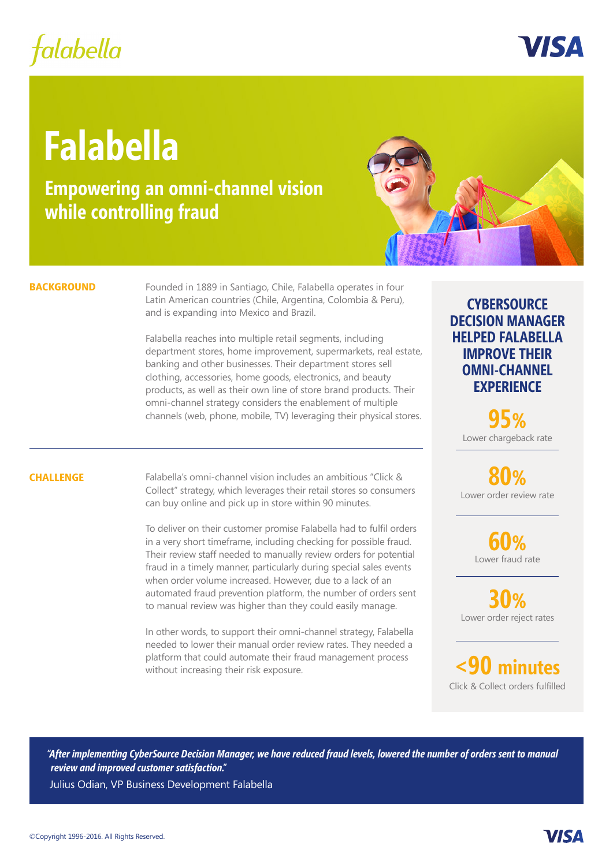# falabella

VIS A

# **Falabella**

**Empowering an omni-channel vision while controlling fraud**



#### **BACKGROUND**

Founded in 1889 in Santiago, Chile, Falabella operates in four Latin American countries (Chile, Argentina, Colombia & Peru), and is expanding into Mexico and Brazil.

Falabella reaches into multiple retail segments, including department stores, home improvement, supermarkets, real estate, banking and other businesses. Their department stores sell clothing, accessories, home goods, electronics, and beauty products, as well as their own line of store brand products. Their omni-channel strategy considers the enablement of multiple channels (web, phone, mobile, TV) leveraging their physical stores.

### **CHALLENGE**

Falabella's omni-channel vision includes an ambitious "Click & Collect" strategy, which leverages their retail stores so consumers can buy online and pick up in store within 90 minutes.

To deliver on their customer promise Falabella had to fulfil orders in a very short timeframe, including checking for possible fraud. Their review staff needed to manually review orders for potential fraud in a timely manner, particularly during special sales events when order volume increased. However, due to a lack of an automated fraud prevention platform, the number of orders sent to manual review was higher than they could easily manage.

In other words, to support their omni-channel strategy, Falabella needed to lower their manual order review rates. They needed a platform that could automate their fraud management process without increasing their risk exposure.

## **CYBERSOURCE DECISION MANAGER HELPED FALABELLA IMPROVE THEIR OMNI-CHANNEL EXPERIENCE**

Lower chargeback rate **95%**

**80%** Lower order review rate

> **60%** Lower fraud rate

**30%** Lower order reject rates

**<90 minutes** Click & Collect orders fulfilled

*"After implementing CyberSource Decision Manager, we have reduced fraud levels, lowered the number of orders sent to manual review and improved customer satisfaction."*

Julius Odian, VP Business Development Falabella